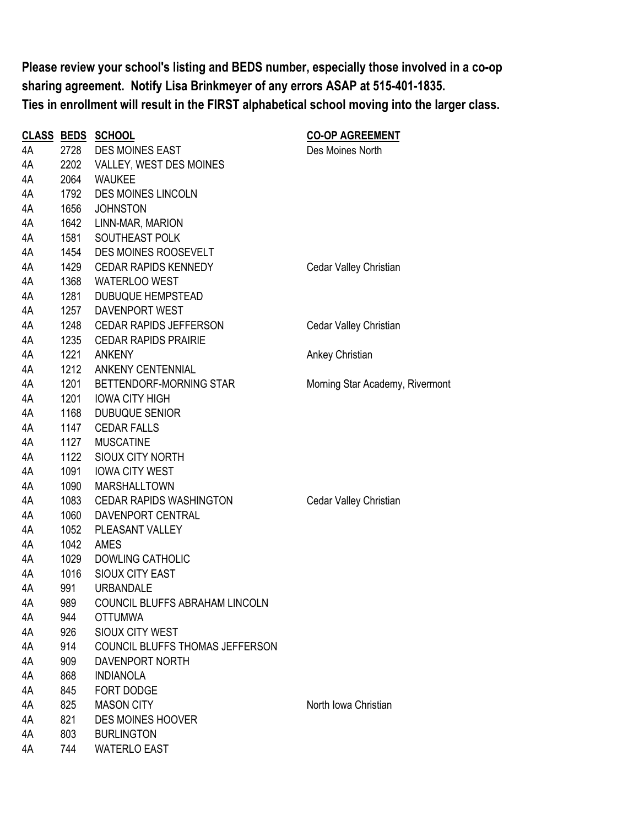**Please review your school's listing and BEDS number, especially those involved in a co-op sharing agreement. Notify Lisa Brinkmeyer of any errors ASAP at 515-401-1835. Ties in enrollment will result in the FIRST alphabetical school moving into the larger class.**

|    |      | <b>CLASS BEDS SCHOOL</b>        | <b>CO-OP AGREEMENT</b>          |
|----|------|---------------------------------|---------------------------------|
| 4A | 2728 | <b>DES MOINES EAST</b>          | Des Moines North                |
| 4A | 2202 | VALLEY, WEST DES MOINES         |                                 |
| 4A | 2064 | <b>WAUKEE</b>                   |                                 |
| 4A | 1792 | DES MOINES LINCOLN              |                                 |
| 4A | 1656 | <b>JOHNSTON</b>                 |                                 |
| 4A | 1642 | LINN-MAR, MARION                |                                 |
| 4A | 1581 | SOUTHEAST POLK                  |                                 |
| 4A | 1454 | DES MOINES ROOSEVELT            |                                 |
| 4A | 1429 | <b>CEDAR RAPIDS KENNEDY</b>     | Cedar Valley Christian          |
| 4A | 1368 | <b>WATERLOO WEST</b>            |                                 |
| 4A | 1281 | <b>DUBUQUE HEMPSTEAD</b>        |                                 |
| 4A | 1257 | DAVENPORT WEST                  |                                 |
| 4A | 1248 | <b>CEDAR RAPIDS JEFFERSON</b>   | Cedar Valley Christian          |
| 4A | 1235 | <b>CEDAR RAPIDS PRAIRIE</b>     |                                 |
| 4A | 1221 | <b>ANKENY</b>                   | Ankey Christian                 |
| 4A | 1212 | <b>ANKENY CENTENNIAL</b>        |                                 |
| 4A | 1201 | BETTENDORF-MORNING STAR         | Morning Star Academy, Rivermont |
| 4A | 1201 | <b>IOWA CITY HIGH</b>           |                                 |
| 4A | 1168 | <b>DUBUQUE SENIOR</b>           |                                 |
| 4A | 1147 | <b>CEDAR FALLS</b>              |                                 |
| 4A | 1127 | <b>MUSCATINE</b>                |                                 |
| 4A | 1122 | <b>SIOUX CITY NORTH</b>         |                                 |
| 4A | 1091 | <b>IOWA CITY WEST</b>           |                                 |
| 4A | 1090 | <b>MARSHALLTOWN</b>             |                                 |
| 4A | 1083 | <b>CEDAR RAPIDS WASHINGTON</b>  | Cedar Valley Christian          |
| 4A | 1060 | DAVENPORT CENTRAL               |                                 |
| 4A | 1052 | PLEASANT VALLEY                 |                                 |
| 4A | 1042 | AMES                            |                                 |
| 4A | 1029 | <b>DOWLING CATHOLIC</b>         |                                 |
| 4A | 1016 | SIOUX CITY EAST                 |                                 |
| 4A | 991  | <b>URBANDALE</b>                |                                 |
| 4A | 989  | COUNCIL BLUFFS ABRAHAM LINCOLN  |                                 |
| 4A | 944  | <b>OTTUMWA</b>                  |                                 |
| 4A | 926  | SIOUX CITY WEST                 |                                 |
| 4A | 914  | COUNCIL BLUFFS THOMAS JEFFERSON |                                 |
| 4A | 909  | DAVENPORT NORTH                 |                                 |
| 4A | 868  | <b>INDIANOLA</b>                |                                 |
| 4A | 845  | FORT DODGE                      |                                 |
| 4A | 825  | <b>MASON CITY</b>               | North Iowa Christian            |
| 4A | 821  | <b>DES MOINES HOOVER</b>        |                                 |
| 4A | 803  | <b>BURLINGTON</b>               |                                 |
| 4A | 744  | <b>WATERLO EAST</b>             |                                 |
|    |      |                                 |                                 |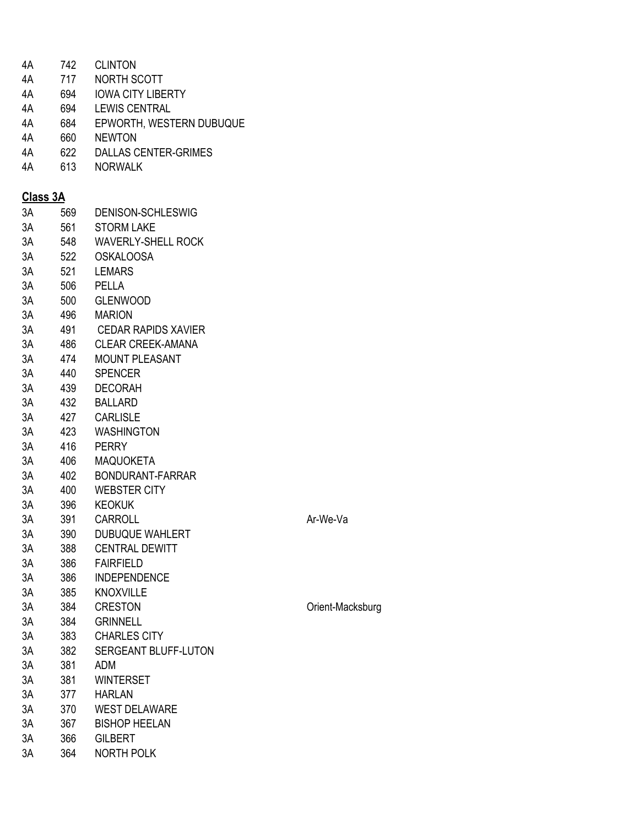| 4A              | 742 | <b>CLINTON</b>              |
|-----------------|-----|-----------------------------|
| 4A              | 717 | NORTH SCOTT                 |
| 4A              | 694 | <b>IOWA CITY LIBERTY</b>    |
| 4A              | 694 | <b>LEWIS CENTRAL</b>        |
| 4A              | 684 | EPWORTH, WESTERN DUBUQUE    |
| 4A              | 660 | <b>NEWTON</b>               |
| 4A              | 622 | <b>DALLAS CENTER-GRIMES</b> |
| 4A              | 613 | <b>NORWALK</b>              |
|                 |     |                             |
| <b>Class 3A</b> |     |                             |
| 3A              | 569 | DENISON-SCHLESWIG           |
| 3A              | 561 | <b>STORM LAKE</b>           |
| 3A              | 548 | <b>WAVERLY-SHELL ROCK</b>   |
| 3A              | 522 | <b>OSKALOOSA</b>            |
| 3A              | 521 | <b>LEMARS</b>               |
| 3A              | 506 | <b>PELLA</b>                |
| 3A              |     | 500 GLENWOOD                |
| 3A              |     | 496 MARION                  |
| 3A              | 491 | <b>CEDAR RAPIDS XAVIER</b>  |
| 3A              | 486 | <b>CLEAR CREEK-AMANA</b>    |
| 3A              | 474 | <b>MOUNT PLEASANT</b>       |
| 3A              | 440 | <b>SPENCER</b>              |
| 3A              | 439 | <b>DECORAH</b>              |
| 3A              |     | 432 BALLARD                 |
| 3A              | 427 | <b>CARLISLE</b>             |
| 3A              | 423 | <b>WASHINGTON</b>           |
| 3A              | 416 | <b>PERRY</b>                |
| 3A              | 406 | <b>MAQUOKETA</b>            |
| 3A              | 402 | BONDURANT-FARRAR            |
| 3A              | 400 | <b>WEBSTER CITY</b>         |
| 3A              | 396 | <b>KEOKUK</b>               |
| 3A              | 391 | CARROLL                     |
| 3A              | 390 | <b>DUBUQUE WAHLERT</b>      |
| 3A              | 388 | <b>CENTRAL DEWITT</b>       |
| 3A              | 386 | <b>FAIRFIELD</b>            |
| 3A              | 386 | <b>INDEPENDENCE</b>         |
| 3A              | 385 | <b>KNOXVILLE</b>            |
| 3A              | 384 | <b>CRESTON</b>              |
| 3A              | 384 | <b>GRINNELL</b>             |
| 3A              | 383 | <b>CHARLES CITY</b>         |
| 3A              | 382 | <b>SERGEANT BLUFF-LUTON</b> |
| 3A              | 381 | <b>ADM</b>                  |
| 3A              | 381 | <b>WINTERSET</b>            |
| 3A              | 377 | <b>HARLAN</b>               |
| 3A              | 370 | <b>WEST DELAWARE</b>        |
| 3A              | 367 | <b>BISHOP HEELAN</b>        |
| 3A              | 366 | <b>GILBERT</b>              |
| 3A              | 364 | <b>NORTH POLK</b>           |

Ar-We-Va

Orient-Macksburg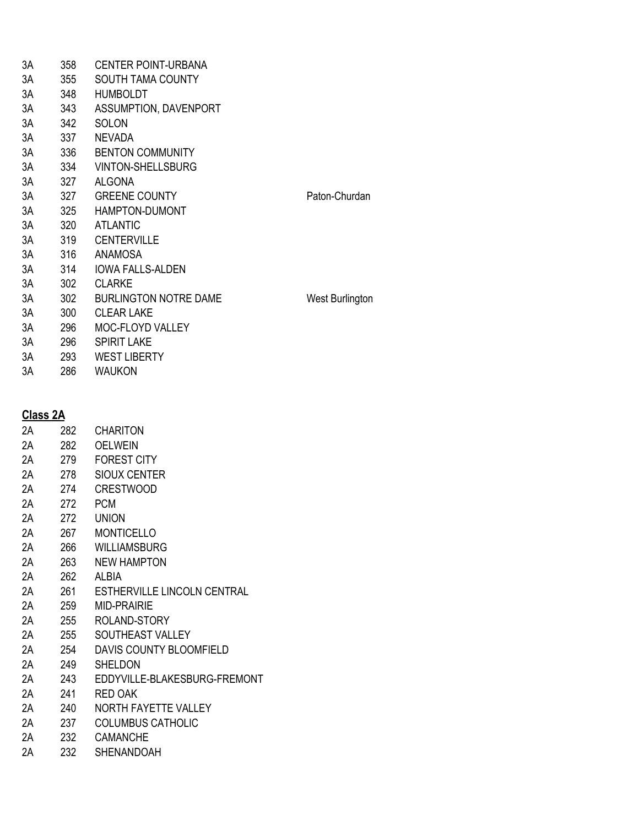| 3A | 358 | <b>CENTER POINT-URBANA</b>   |                 |
|----|-----|------------------------------|-----------------|
| 3A | 355 | <b>SOUTH TAMA COUNTY</b>     |                 |
| 3A | 348 | <b>HUMBOLDT</b>              |                 |
| 3A | 343 | ASSUMPTION, DAVENPORT        |                 |
| 3A | 342 | <b>SOLON</b>                 |                 |
| 3A | 337 | <b>NEVADA</b>                |                 |
| 3A | 336 | <b>BENTON COMMUNITY</b>      |                 |
| 3A | 334 | <b>VINTON-SHELLSBURG</b>     |                 |
| 3A | 327 | <b>ALGONA</b>                |                 |
| 3A | 327 | <b>GREENE COUNTY</b>         | Paton-Churdan   |
| 3A | 325 | HAMPTON-DUMONT               |                 |
| 3A | 320 | <b>ATLANTIC</b>              |                 |
| 3A | 319 | <b>CENTERVILLE</b>           |                 |
| 3A | 316 | ANAMOSA                      |                 |
| 3A | 314 | <b>IOWA FALLS-ALDEN</b>      |                 |
| 3A | 302 | <b>CLARKE</b>                |                 |
| 3A | 302 | <b>BURLINGTON NOTRE DAME</b> | West Burlington |
| 3A | 300 | <b>CLEAR LAKE</b>            |                 |
| 3A | 296 | <b>MOC-FLOYD VALLEY</b>      |                 |
| 3A | 296 | <b>SPIRIT LAKE</b>           |                 |
| 3A | 293 | <b>WEST LIBERTY</b>          |                 |
| 3A | 286 | <b>WAUKON</b>                |                 |
|    |     |                              |                 |

## **Class 2A**

| VIUJJ LA |     |                              |
|----------|-----|------------------------------|
| 2Α       | 282 | <b>CHARITON</b>              |
| 2Α       | 282 | <b>OELWEIN</b>               |
| 2Α       | 279 | <b>FOREST CITY</b>           |
| 2Α       | 278 | <b>SIOUX CENTER</b>          |
| 2A       | 274 | <b>CRESTWOOD</b>             |
| 2Α       | 272 | <b>PCM</b>                   |
| 2A       | 272 | <b>UNION</b>                 |
| 2A       | 267 | <b>MONTICELLO</b>            |
| 2Α       | 266 | <b>WILLIAMSBURG</b>          |
| 2A       | 263 | <b>NEW HAMPTON</b>           |
| 2A       | 262 | ALBIA                        |
| 2A       | 261 | ESTHERVILLE LINCOLN CENTRAL  |
| 2Α       | 259 | <b>MID-PRAIRIE</b>           |
| 2A       | 255 | ROLAND-STORY                 |
| 2A       | 255 | SOUTHEAST VALLEY             |
| 2Α       | 254 | DAVIS COUNTY BLOOMFIELD      |
| 2A       | 249 | <b>SHELDON</b>               |
| 2A       | 243 | EDDYVILLE-BLAKESBURG-FREMONT |
| 2Α       | 241 | RED OAK                      |
| 2A       | 240 | <b>NORTH FAYETTE VALLEY</b>  |
| 2A       | 237 | <b>COLUMBUS CATHOLIC</b>     |
| 2А       | 232 | <b>CAMANCHE</b>              |
| 2A       | 232 | SHENANDOAH                   |
|          |     |                              |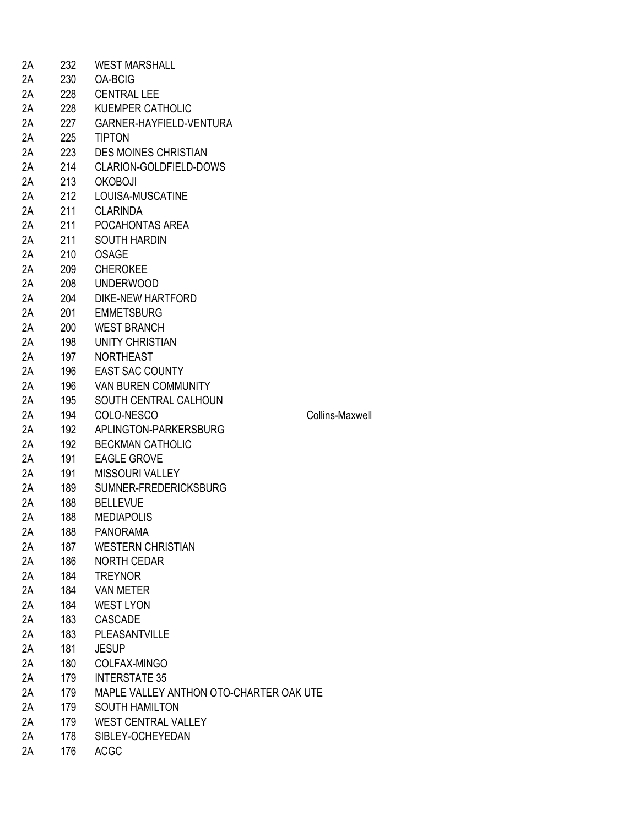| 2A | 232 | <b>WEST MARSHALL</b>                    |                 |
|----|-----|-----------------------------------------|-----------------|
| 2A | 230 | <b>OA-BCIG</b>                          |                 |
| 2A | 228 | <b>CENTRAL LEE</b>                      |                 |
| 2A | 228 | <b>KUEMPER CATHOLIC</b>                 |                 |
| 2A | 227 | GARNER-HAYFIELD-VENTURA                 |                 |
| 2A | 225 | <b>TIPTON</b>                           |                 |
| 2A | 223 | <b>DES MOINES CHRISTIAN</b>             |                 |
| 2A | 214 | CLARION-GOLDFIELD-DOWS                  |                 |
| 2A | 213 | <b>OKOBOJI</b>                          |                 |
| 2A | 212 | LOUISA-MUSCATINE                        |                 |
| 2A | 211 | <b>CLARINDA</b>                         |                 |
| 2A | 211 | POCAHONTAS AREA                         |                 |
| 2A | 211 | <b>SOUTH HARDIN</b>                     |                 |
| 2A | 210 | <b>OSAGE</b>                            |                 |
| 2A | 209 | <b>CHEROKEE</b>                         |                 |
| 2A | 208 | <b>UNDERWOOD</b>                        |                 |
| 2A | 204 | <b>DIKE-NEW HARTFORD</b>                |                 |
| 2A | 201 | <b>EMMETSBURG</b>                       |                 |
| 2A |     | <b>WEST BRANCH</b>                      |                 |
|    | 200 | <b>UNITY CHRISTIAN</b>                  |                 |
| 2A | 198 |                                         |                 |
| 2A | 197 | <b>NORTHEAST</b>                        |                 |
| 2A | 196 | <b>EAST SAC COUNTY</b>                  |                 |
| 2A | 196 | <b>VAN BUREN COMMUNITY</b>              |                 |
| 2A | 195 | SOUTH CENTRAL CALHOUN                   |                 |
| 2A | 194 | COLO-NESCO                              | Collins-Maxwell |
| 2A | 192 | APLINGTON-PARKERSBURG                   |                 |
| 2A | 192 | <b>BECKMAN CATHOLIC</b>                 |                 |
| 2A | 191 | <b>EAGLE GROVE</b>                      |                 |
| 2A | 191 | <b>MISSOURI VALLEY</b>                  |                 |
| 2A | 189 | SUMNER-FREDERICKSBURG                   |                 |
| 2A | 188 | <b>BELLEVUE</b>                         |                 |
| 2A | 188 | <b>MEDIAPOLIS</b>                       |                 |
| 2Α | 188 | <b>PANORAMA</b>                         |                 |
| 2A | 187 | <b>WESTERN CHRISTIAN</b>                |                 |
| 2A | 186 | <b>NORTH CEDAR</b>                      |                 |
| 2A | 184 | <b>TREYNOR</b>                          |                 |
| 2A | 184 | <b>VAN METER</b>                        |                 |
| 2A | 184 | <b>WEST LYON</b>                        |                 |
| 2A | 183 | <b>CASCADE</b>                          |                 |
| 2A | 183 | <b>PLEASANTVILLE</b>                    |                 |
| 2A | 181 | <b>JESUP</b>                            |                 |
| 2A | 180 | COLFAX-MINGO                            |                 |
| 2A | 179 | <b>INTERSTATE 35</b>                    |                 |
| 2A | 179 | MAPLE VALLEY ANTHON OTO-CHARTER OAK UTE |                 |
| 2A | 179 | <b>SOUTH HAMILTON</b>                   |                 |
| 2A | 179 | <b>WEST CENTRAL VALLEY</b>              |                 |
| 2A | 178 | SIBLEY-OCHEYEDAN                        |                 |
| 2A | 176 | <b>ACGC</b>                             |                 |
|    |     |                                         |                 |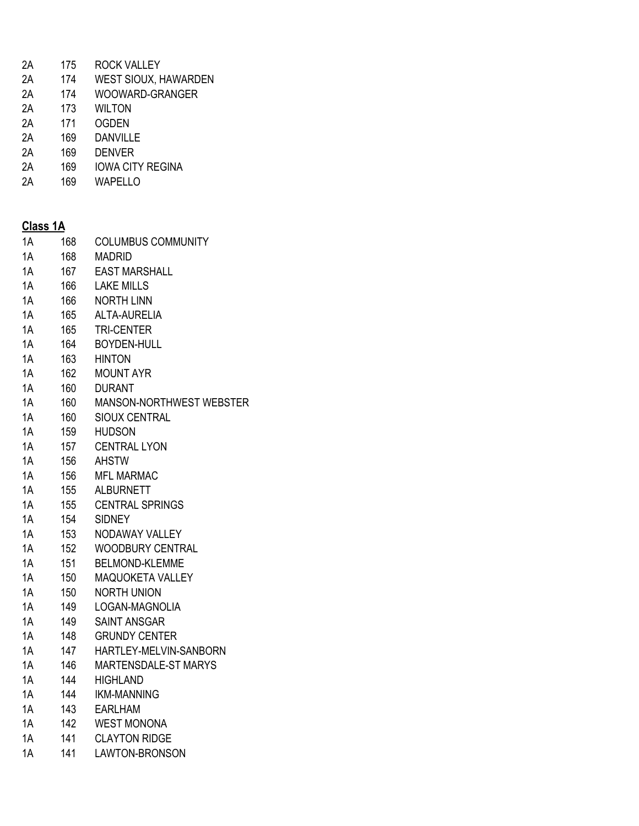| 2A | 175 | ROCK VALLEY                 |
|----|-----|-----------------------------|
| 2A | 174 | <b>WEST SIOUX, HAWARDEN</b> |
| 2Α | 174 | WOOWARD-GRANGER             |
| 2Α | 173 | WILTON                      |
| 2Α | 171 | <b>OGDEN</b>                |
| 2Α | 169 | DANVILLE                    |

- 2A 169 DENVER
- 
- 2A 169 IOWA CITY REGINA<br>2A 169 WAPELLO WAPELLO

| <b>Class 1A</b> |     |                           |  |  |  |
|-----------------|-----|---------------------------|--|--|--|
| 1A              | 168 | <b>COLUMBUS COMMUNITY</b> |  |  |  |
| 1A              | 168 | <b>MADRID</b>             |  |  |  |
| 1A              | 167 | <b>EAST MARSHALL</b>      |  |  |  |
| 1A              | 166 | <b>LAKE MILLS</b>         |  |  |  |
| 1A              | 166 | <b>NORTH LINN</b>         |  |  |  |
| 1A              | 165 | ALTA-AURELIA              |  |  |  |
| 1A              | 165 | <b>TRI-CENTER</b>         |  |  |  |
| 1A              | 164 | <b>BOYDEN-HULL</b>        |  |  |  |
| 1A              | 163 | <b>HINTON</b>             |  |  |  |
| 1A              | 162 | <b>MOUNT AYR</b>          |  |  |  |
| 1A              | 160 | <b>DURANT</b>             |  |  |  |
| 1A              | 160 | MANSON-NORTHWEST WEBSTER  |  |  |  |
| 1A              | 160 | <b>SIOUX CENTRAL</b>      |  |  |  |
| 1A              | 159 | <b>HUDSON</b>             |  |  |  |
| 1A              | 157 | <b>CENTRAL LYON</b>       |  |  |  |
| 1A              | 156 | <b>AHSTW</b>              |  |  |  |
| 1A              | 156 | <b>MFL MARMAC</b>         |  |  |  |
| 1A              | 155 | <b>ALBURNETT</b>          |  |  |  |
| 1A              | 155 | <b>CENTRAL SPRINGS</b>    |  |  |  |
| 1A              | 154 | <b>SIDNEY</b>             |  |  |  |
| 1A              | 153 | NODAWAY VALLEY            |  |  |  |
| 1A              | 152 | <b>WOODBURY CENTRAL</b>   |  |  |  |
| 1A              | 151 | <b>BELMOND-KLEMME</b>     |  |  |  |
| 1A              | 150 | MAQUOKETA VALLEY          |  |  |  |
| 1A              | 150 | <b>NORTH UNION</b>        |  |  |  |
| 1A              | 149 | LOGAN-MAGNOLIA            |  |  |  |
| 1A              | 149 | <b>SAINT ANSGAR</b>       |  |  |  |
| 1A              | 148 | <b>GRUNDY CENTER</b>      |  |  |  |
| 1A              | 147 | HARTLEY-MELVIN-SANBORN    |  |  |  |
| 1A              | 146 | MARTENSDALE-ST MARYS      |  |  |  |
| 1A              | 144 | <b>HIGHLAND</b>           |  |  |  |
| 1A              | 144 | <b>IKM-MANNING</b>        |  |  |  |
| 1A              | 143 | <b>EARLHAM</b>            |  |  |  |
| 1A              | 142 | <b>WEST MONONA</b>        |  |  |  |
| 1A              | 141 | <b>CLAYTON RIDGE</b>      |  |  |  |

1A 141 LAWTON-BRONSON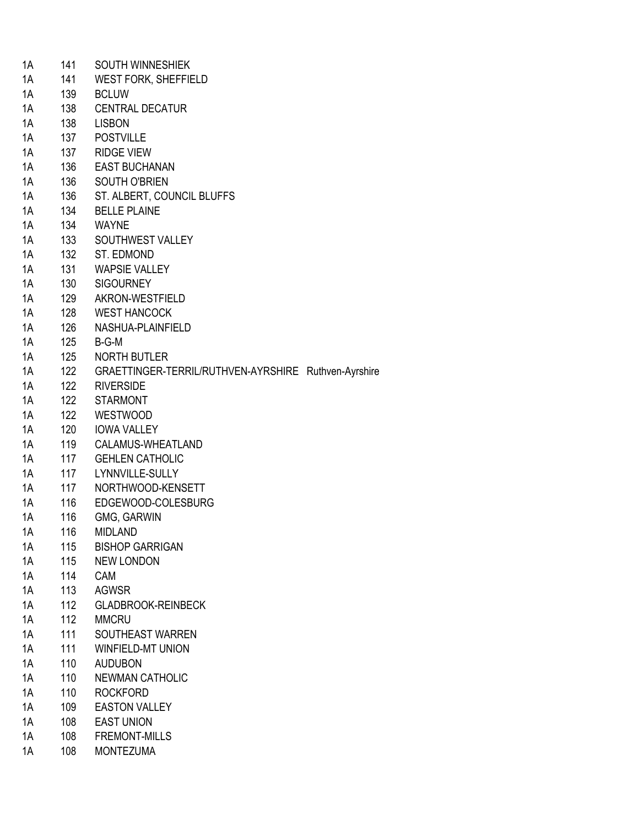| 1A | 141 | <b>SOUTH WINNESHIEK</b>                              |  |
|----|-----|------------------------------------------------------|--|
| 1A | 141 | <b>WEST FORK, SHEFFIELD</b>                          |  |
| 1A | 139 | <b>BCLUW</b>                                         |  |
| 1A | 138 | <b>CENTRAL DECATUR</b>                               |  |
| 1A | 138 | <b>LISBON</b>                                        |  |
| 1A | 137 | <b>POSTVILLE</b>                                     |  |
| 1A | 137 | <b>RIDGE VIEW</b>                                    |  |
| 1A | 136 | <b>EAST BUCHANAN</b>                                 |  |
| 1A | 136 | SOUTH O'BRIEN                                        |  |
| 1A | 136 | ST. ALBERT, COUNCIL BLUFFS                           |  |
| 1A | 134 | <b>BELLE PLAINE</b>                                  |  |
| 1A | 134 | <b>WAYNE</b>                                         |  |
| 1A | 133 | SOUTHWEST VALLEY                                     |  |
| 1A | 132 | ST. EDMOND                                           |  |
| 1A | 131 | <b>WAPSIE VALLEY</b>                                 |  |
| 1A | 130 | <b>SIGOURNEY</b>                                     |  |
| 1A | 129 | AKRON-WESTFIELD                                      |  |
|    |     |                                                      |  |
| 1A | 128 | <b>WEST HANCOCK</b>                                  |  |
| 1A | 126 | NASHUA-PLAINFIELD                                    |  |
| 1A | 125 | B-G-M                                                |  |
| 1A | 125 | <b>NORTH BUTLER</b>                                  |  |
| 1A | 122 | GRAETTINGER-TERRIL/RUTHVEN-AYRSHIRE Ruthven-Ayrshire |  |
| 1A | 122 | <b>RIVERSIDE</b>                                     |  |
| 1A | 122 | <b>STARMONT</b>                                      |  |
| 1A | 122 | <b>WESTWOOD</b>                                      |  |
| 1A | 120 | <b>IOWA VALLEY</b>                                   |  |
| 1A | 119 | CALAMUS-WHEATLAND                                    |  |
| 1A | 117 | <b>GEHLEN CATHOLIC</b>                               |  |
| 1A | 117 | LYNNVILLE-SULLY                                      |  |
| 1A | 117 | NORTHWOOD-KENSETT                                    |  |
| 1A | 116 | EDGEWOOD-COLESBURG                                   |  |
| 1A | 116 | GMG, GARWIN                                          |  |
| 1Α | 116 | <b>MIDLAND</b>                                       |  |
| 1A | 115 | <b>BISHOP GARRIGAN</b>                               |  |
| 1A | 115 | <b>NEW LONDON</b>                                    |  |
| 1A | 114 | <b>CAM</b>                                           |  |
| 1A | 113 | <b>AGWSR</b>                                         |  |
| 1A | 112 | <b>GLADBROOK-REINBECK</b>                            |  |
| 1A | 112 | <b>MMCRU</b>                                         |  |
| 1A | 111 | SOUTHEAST WARREN                                     |  |
| 1A | 111 | <b>WINFIELD-MT UNION</b>                             |  |
| 1A | 110 | <b>AUDUBON</b>                                       |  |
| 1A | 110 | <b>NEWMAN CATHOLIC</b>                               |  |
| 1A | 110 | <b>ROCKFORD</b>                                      |  |
| 1A | 109 | <b>EASTON VALLEY</b>                                 |  |
| 1A | 108 | <b>EAST UNION</b>                                    |  |
| 1A | 108 | <b>FREMONT-MILLS</b>                                 |  |
| 1A | 108 | <b>MONTEZUMA</b>                                     |  |